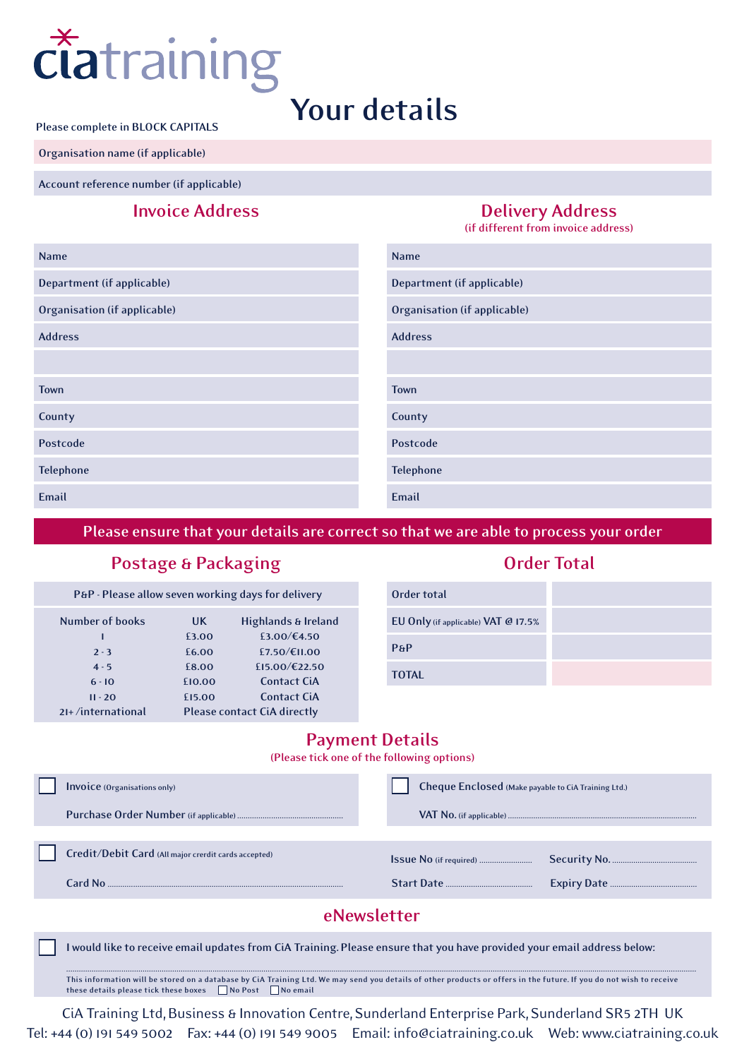

**Please complete in BLOCK CAPITALS**

**Organisation name (if applicable)**

**Account reference number (if applicable)**

### **Invoice Address Delivery Address**

**(if different from invoice address)**

| <b>Name</b>                  | <b>Name</b>                         |
|------------------------------|-------------------------------------|
| Department (if applicable)   | Department (if applicable)          |
| Organisation (if applicable) | <b>Organisation (if applicable)</b> |
| <b>Address</b>               | <b>Address</b>                      |
|                              |                                     |
| <b>Town</b>                  | <b>Town</b>                         |
| County                       | County                              |
| Postcode                     | Postcode                            |
| <b>Telephone</b>             | <b>Telephone</b>                    |
| Email                        | Email                               |

**Please ensure that your details are correct so that we are able to process your order**

#### **Postage & Packaging**

| P&P - Please allow seven working days for delivery |        |                                    |  |  |  |  |  |  |
|----------------------------------------------------|--------|------------------------------------|--|--|--|--|--|--|
| Number of books                                    | UK.    | Highlands & Ireland                |  |  |  |  |  |  |
|                                                    | £3.00  | £3.00/€4.50                        |  |  |  |  |  |  |
| $2 - 3$                                            | £6.00  | £7.50/€11.00                       |  |  |  |  |  |  |
| $4 - 5$                                            | £8.00  | £15.00/€22.50                      |  |  |  |  |  |  |
| $6 - 10$                                           | £10.00 | <b>Contact CiA</b>                 |  |  |  |  |  |  |
| $II - 20$                                          | £15.00 | <b>Contact CiA</b>                 |  |  |  |  |  |  |
| $2I+$ /international                               |        | <b>Please contact CiA directly</b> |  |  |  |  |  |  |

#### **Order Total**

| Order total                         |  |
|-------------------------------------|--|
| EU Only (if applicable) VAT @ 17.5% |  |
| PAP                                 |  |
| <b>TOTAL</b>                        |  |

#### **Payment Details**

**(Please tick one of the following options)**

|             | <b>Invoice</b> (Organisations only)                  |  | Cheque Enclosed (Make payable to CiA Training Ltd.) |  |  |  |
|-------------|------------------------------------------------------|--|-----------------------------------------------------|--|--|--|
|             |                                                      |  |                                                     |  |  |  |
|             |                                                      |  |                                                     |  |  |  |
|             | Credit/Debit Card (All major crerdit cards accepted) |  |                                                     |  |  |  |
|             | Card No                                              |  |                                                     |  |  |  |
| eNewsletter |                                                      |  |                                                     |  |  |  |

**I would like to receive email updates from CiA Training. Please ensure that you have provided your email address below:**

**......................................................................................................................................................................................................................................................................................................... This information will be stored on a database by CiA Training Ltd. We may send you details of other products or offers in the future. If you do not wish to receive these details please tick these boxes No Post No email**

CiA Training Ltd, Business & Innovation Centre, Sunderland Enterprise Park, Sunderland SR5 2TH UK Tel: +44 (0) 191 549 5002 Fax: +44 (0) 191 549 9005 Email: info@ciatraining.co.uk Web: www.ciatraining.co.uk